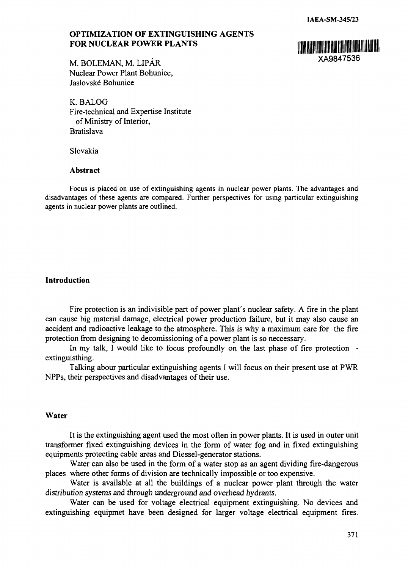# **OPTIMIZATION OF EXTINGUISHING AGENTS FOR NUCLEAR POWER PLANTS**



M. BOLEMAN, M. LIPAR Nuclear Power Plant Bohunice, Jaslovske Bohunice

K. BALOG Fire-technical and Expertise Institute of Ministry of Interior, Bratislava

Slovakia

#### **Abstract**

Focus is placed on use of extinguishing agents in nuclear power plants. The advantages and disadvantages of these agents are compared. Further perspectives for using particular extinguishing agents in nuclear power plants are outlined.

### **Introduction**

Fire protection is an indivisible part of power plant's nuclear safety. A fire in the plant can cause big material damage, electrical power production failure, but it may also cause an accident and radioactive leakage to the atmosphere. This is why a maximum care for the fire protection from designing to decomissioning of a power plant is so neccessary.

In my talk, I would like to focus profoundly on the last phase of fire protection extinguisthing.

Talking abour particular extinguishing agents I will focus on their present use at PWR NPPs, their perspectives and disadvantages of their use.

#### **Water**

It is the extinguishing agent used the most often in power plants. It is used in outer unit transformer fixed extinguishing devices in the form of water fog and in fixed extinguishing equipments protecting cable areas and Diessel-generator stations.

Water can also be used in the form of a water stop as an agent dividing fire-dangerous places where other forms of division are technically impossible or too expensive.

Water is available at all the buildings of a nuclear power plant through the water distribution systems and through underground and overhead hydrants.

Water can be used for voltage electrical equipment extinguishing. No devices and extinguishing equipmet have been designed for larger voltage electrical equipment fires.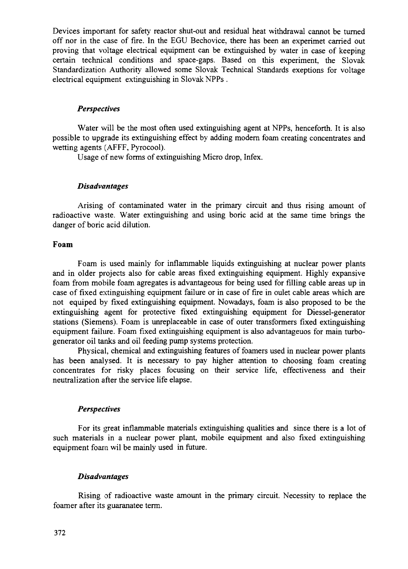Devices important for safety reactor shut-out and residual heat withdrawal cannot be turned off nor in the case of fire. In the EGU Bechovice, there has been an experimet carried out proving that voltage electrical equipment can be extinguished by water in case of keeping certain technical conditions and space-gaps. Based on this experiment, the Slovak Standardization Authority allowed some Slovak Technical Standards exeptions for voltage electrical equipment extinguishing in Slovak NPPs .

# *Perspectives*

Water will be the most often used extinguishing agent at NPPs, henceforth. It is also possible to upgrade its extinguishing effect by adding modern foam creating concentrates and wetting agents (AFFF, Pyrocool).

Usage of new forms of extinguishing Micro drop, Infex.

# *Disadvantages*

Arising of contaminated water in the primary circuit and thus rising amount of radioactive waste. Water extinguishing and using boric acid at the same time brings the danger of boric acid dilution.

### **Foam**

Foam is used mainly for inflammable liquids extinguishing at nuclear power plants and in older projects also for cable areas fixed extinguishing equipment. Highly expansive foam from mobile foam agregates is advantageous for being used for filling cable areas up in case of fixed extinguishing equipment failure or in case of fire in oulet cable areas which are not equiped by fixed extinguishing equipment. Nowadays, foam is also proposed to be the extinguishing agent for protective fixed extinguishing equipment for Diessel-generator stations (Siemens). Foam is unreplaceable in case of outer transformers fixed extinguishing equipment failure. Foam fixed extinguishing equipment is also advantageuos for main turbogenerator oil tanks and oil feeding pump systems protection.

Physical, chemical and extinguishing features of foamers used in nuclear power plants has been analysed. It is necessary to pay higher attention to choosing foam creating concentrates for risky places focusing on their service life, effectiveness and their neutralization after the service life elapse.

# *Perspectives*

For its great inflammable materials extinguishing qualities and since there is a lot of such materials in a nuclear power plant, mobile equipment and also fixed extinguishing equipment foam wil be mainly used in future.

# *Disadvantages*

Rising of radioactive waste amount in the primary circuit. Necessity to replace the foamer after its guaranatee term.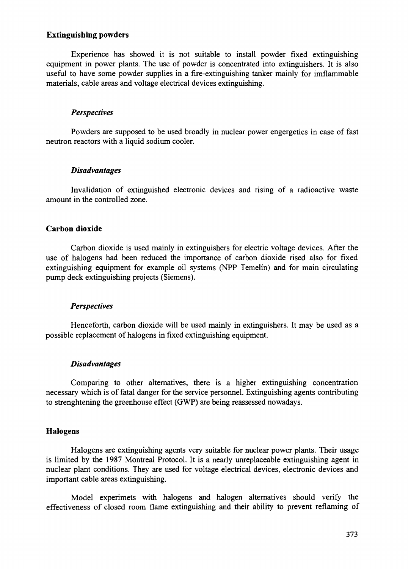# **Extinguishing powders**

Experience has showed it is not suitable to install powder fixed extinguishing equipment in power plants. The use of powder is concentrated into extinguishers. It is also useful to have some powder supplies in a fire-extinguishing tanker mainly for imflammable materials, cable areas and voltage electrical devices extinguishing.

#### *Perspectives*

Powders are supposed to be used broadly in nuclear power engergetics in case of fast neutron reactors with a liquid sodium cooler.

### *Disadvantages*

Invalidation of extinguished electronic devices and rising of a radioactive waste amount in the controlled zone.

# **Carbon dioxide**

Carbon dioxide is used mainly in extinguishers for electric voltage devices. After the use of halogens had been reduced the importance of carbon dioxide rised also for fixed extinguishing equipment for example oil systems (NPP Temelin) and for main circulating pump deck extinguishing projects (Siemens).

# *Perspectives*

Henceforth, carbon dioxide will be used mainly in extinguishers. It may be used as a possible replacement of halogens in fixed extinguishing equipment.

#### *Disadvantages*

Comparing to other alternatives, there is a higher extinguishing concentration necessary which is of fatal danger for the service personnel. Extinguishing agents contributing to strenghtening the greenhouse effect (GWP) are being reassessed nowadays.

### **Halogens**

Halogens are extinguishing agents very suitable for nuclear power plants. Their usage is limited by the 1987 Montreal Protocol. It is a nearly unreplaceable extinguishing agent in nuclear plant conditions. They are used for voltage electrical devices, electronic devices and important cable areas extinguishing.

Model experimets with halogens and halogen alternatives should verify the effectiveness of closed room flame extinguishing and their ability to prevent reflaming of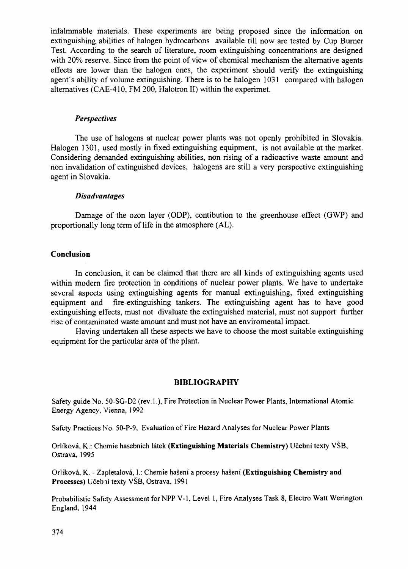infalmmable materials. These experiments are being proposed since the information on extinguishing abilities of halogen hydrocarbons available till now are tested by Cup Burner Test. According to the search of literature, room extinguishing concentrations are designed with 20% reserve. Since from the point of view of chemical mechanism the alternative agents effects are lower than the halogen ones, the experiment should verify the extinguishing agent's ability of volume extinguishing. There is to be halogen 1031 compared with halogen alternatives (CAE-410, FM 200, Halotron II) within the experimet.

### *Perspectives*

The use of halogens at nuclear power plants was not openly prohibited in Slovakia. Halogen 1301, used mostly in fixed extinguishing equipment, is not available at the market. Considering demanded extinguishing abilities, non rising of a radioactive waste amount and non invalidation of extinguished devices, halogens are still a very perspective extinguishing agent in Slovakia.

#### *Disadvantages*

Damage of the ozon layer (ODP), contibution to the greenhouse effect (GWP) and proportionally long term of life in the atmosphere (AL).

# **Conclusion**

In conclusion, it can be claimed that there are all kinds of extinguishing agents used within modern fire protection in conditions of nuclear power plants. We have to undertake several aspects using extinguishing agents for manual extinguishing, fixed extinguishing equipment and fire-extinguishing tankers. The extinguishing agent has to have good extinguishing effects, must not divaluate the extinguished material, must not support further rise of contaminated waste amount and must not have an environmental impact.

Having undertaken all these aspects we have to choose the most suitable extinguishing equipment for the particular area of the plant.

#### **BIBLIOGRAPHY**

Safety guide No. 50-SG-D2 (rev.l.), Fire Protection in Nuclear Power Plants, International Atomic Energy Agency, Vienna, 1992

Safety Practices No. 50-P-9, Evaluation of Fire Hazard Analyses for Nuclear Power Plants

Orlikova, K.: Chemie hasebnich latek **(Extinguishing Materials Chemistry)** Ucebni texty VSB, Ostrava, 1995

Orlikova, K. - Zapletalova, I.: Chemie haseni a procesy haseni **(Extinguishing Chemistry and** Processes) Učební texty VŠB, Ostrava, 1991

Probabilistic Safety Assessment for NPP V-1, Level 1, Fire Analyses Task 8, Electro Watt Werington England, 1944